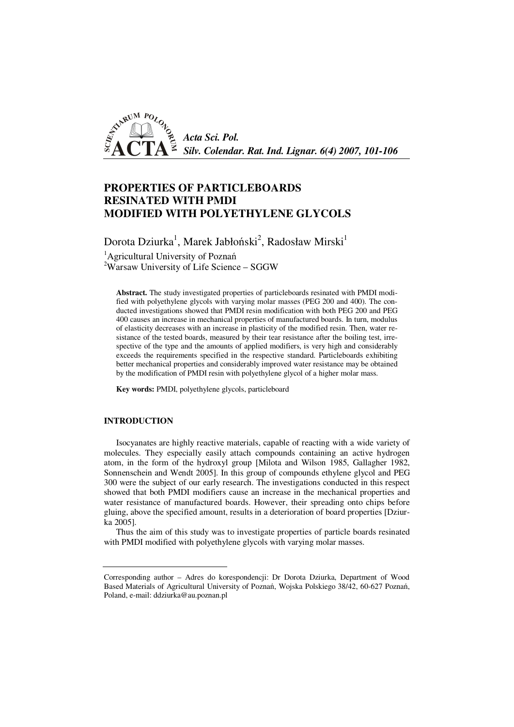

# **PROPERTIES OF PARTICLEBOARDS RESINATED WITH PMDI MODIFIED WITH POLYETHYLENE GLYCOLS**

Dorota Dziurka $^{\rm l}$ , Marek Jabłoński $^{\rm 2}$ , Radosław Mirski $^{\rm l}$ 

<sup>1</sup>Agricultural University of Poznań

 $2$ Warsaw University of Life Science – SGGW

**Abstract.** The study investigated properties of particleboards resinated with PMDI modified with polyethylene glycols with varying molar masses (PEG 200 and 400). The conducted investigations showed that PMDI resin modification with both PEG 200 and PEG 400 causes an increase in mechanical properties of manufactured boards. In turn, modulus of elasticity decreases with an increase in plasticity of the modified resin. Then, water resistance of the tested boards, measured by their tear resistance after the boiling test, irrespective of the type and the amounts of applied modifiers, is very high and considerably exceeds the requirements specified in the respective standard. Particleboards exhibiting better mechanical properties and considerably improved water resistance may be obtained by the modification of PMDI resin with polyethylene glycol of a higher molar mass.

**Key words:** PMDI, polyethylene glycols, particleboard

### **INTRODUCTION**

Isocyanates are highly reactive materials, capable of reacting with a wide variety of molecules. They especially easily attach compounds containing an active hydrogen atom, in the form of the hydroxyl group [Milota and Wilson 1985, Gallagher 1982, Sonnenschein and Wendt 2005]. In this group of compounds ethylene glycol and PEG 300 were the subject of our early research. The investigations conducted in this respect showed that both PMDI modifiers cause an increase in the mechanical properties and water resistance of manufactured boards. However, their spreading onto chips before gluing, above the specified amount, results in a deterioration of board properties [Dziurka 2005].

Thus the aim of this study was to investigate properties of particle boards resinated with PMDI modified with polyethylene glycols with varying molar masses.

Corresponding author – Adres do korespondencji: Dr Dorota Dziurka, Department of Wood Based Materials of Agricultural University of Poznań, Wojska Polskiego 38/42, 60-627 Poznań, Poland, e-mail: ddziurka@au.poznan.pl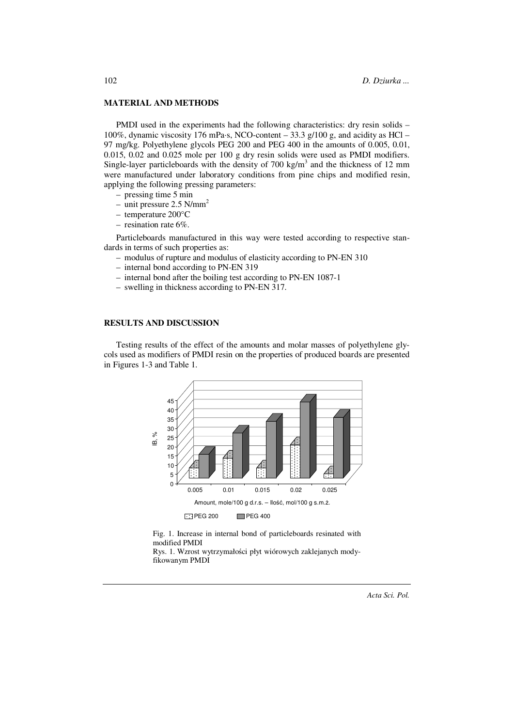#### **MATERIAL AND METHODS**

PMDI used in the experiments had the following characteristics: dry resin solids – 100%, dynamic viscosity 176 mPa·s, NCO-content – 33.3 g/100 g, and acidity as HCl – 97 mg/kg. Polyethylene glycols PEG 200 and PEG 400 in the amounts of 0.005, 0.01, 0.015, 0.02 and 0.025 mole per 100 g dry resin solids were used as PMDI modifiers. Single-layer particleboards with the density of  $700 \text{ kg/m}^3$  and the thickness of 12 mm were manufactured under laboratory conditions from pine chips and modified resin, applying the following pressing parameters:

- pressing time 5 min
- unit pressure  $2.5$  N/mm<sup>2</sup>
- temperature 200°C
- resination rate 6%.

Particleboards manufactured in this way were tested according to respective standards in terms of such properties as:

- modulus of rupture and modulus of elasticity according to PN-EN 310
- internal bond according to PN-EN 319
- internal bond after the boiling test according to PN-EN 1087-1
- swelling in thickness according to PN-EN 317.

#### **RESULTS AND DISCUSSION**

Testing results of the effect of the amounts and molar masses of polyethylene glycols used as modifiers of PMDI resin on the properties of produced boards are presented in Figures 1-3 and Table 1.



Fig. 1. Increase in internal bond of particleboards resinated with modified PMDI

Rys. 1. Wzrost wytrzymałości płyt wiórowych zaklejanych mody-

102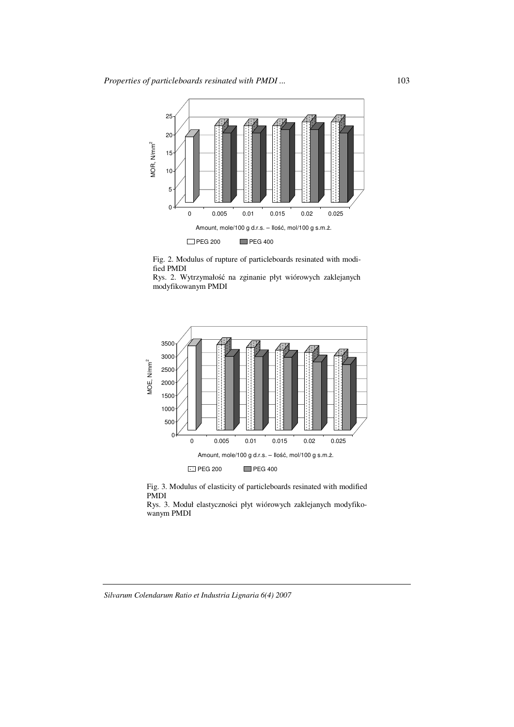

Fig. 2. Modulus of rupture of particleboards resinated with modified PMDI

Rys. 2. Wytrzymałość na zginanie płyt wiórowych zaklejanych modyfikowanym PMDI



Fig. 3. Modulus of elasticity of particleboards resinated with modified PMDI

Rys. 3. Moduł elastyczności płyt wiórowych zaklejanych modyfiko-

#### *Silvarum Colendarum Ratio et Industria Lignaria 6(4) 2007*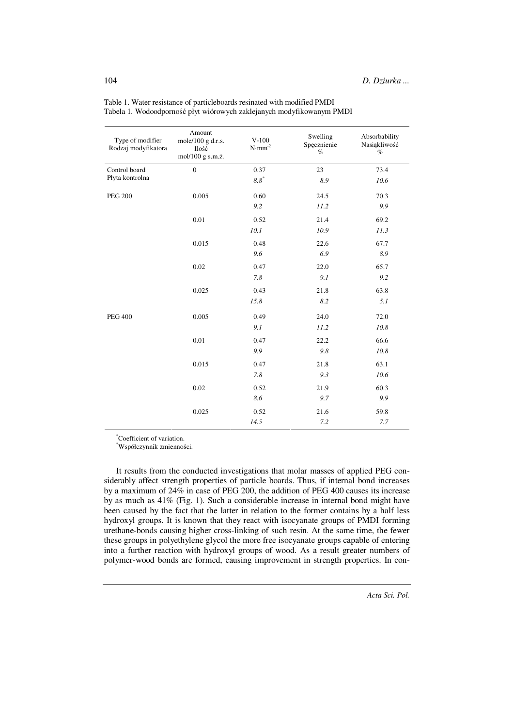| Type of modifier<br>Rodzaj modyfikatora | Amount<br>mole/100 g d.r.s.<br>Ilość<br>mol/100 g s.m.ż. | $V-100$<br>$\text{N}\!\cdot\!\text{mm}^{\text{-2}}$ | Swelling<br>Spęcznienie<br>$\%$ | Absorbability<br>Nasiąkliwość<br>$\%$ |
|-----------------------------------------|----------------------------------------------------------|-----------------------------------------------------|---------------------------------|---------------------------------------|
| Control board<br>Płyta kontrolna        | $\boldsymbol{0}$                                         | 0.37                                                | 23                              | 73.4                                  |
|                                         |                                                          | $8.8\ensuremath{^*}$                                | 8.9                             | 10.6                                  |
| <b>PEG 200</b>                          | 0.005                                                    | 0.60                                                | 24.5                            | 70.3                                  |
|                                         |                                                          | 9.2                                                 | 11.2                            | 9.9                                   |
|                                         | 0.01                                                     | 0.52                                                | 21.4                            | 69.2                                  |
|                                         |                                                          | 10.1                                                | 10.9                            | 11.3                                  |
|                                         | 0.015                                                    | 0.48                                                | 22.6                            | 67.7                                  |
|                                         |                                                          | 9.6                                                 | 6.9                             | 8.9                                   |
|                                         | 0.02                                                     | 0.47                                                | 22.0                            | 65.7                                  |
|                                         |                                                          | 7.8                                                 | 9.1                             | 9.2                                   |
|                                         | 0.025                                                    | 0.43                                                | 21.8                            | 63.8                                  |
|                                         |                                                          | 15.8                                                | 8.2                             | 5.1                                   |
| <b>PEG 400</b>                          | 0.005                                                    | 0.49                                                | 24.0                            | 72.0                                  |
|                                         |                                                          | 9.1                                                 | 11.2                            | 10.8                                  |
|                                         | 0.01                                                     | 0.47                                                | 22.2                            | 66.6                                  |
|                                         |                                                          | 9.9                                                 | 9.8                             | 10.8                                  |
|                                         | 0.015                                                    | 0.47                                                | 21.8                            | 63.1                                  |
|                                         |                                                          | 7.8                                                 | 9.3                             | 10.6                                  |
|                                         | 0.02                                                     | 0.52                                                | 21.9                            | 60.3                                  |
|                                         |                                                          | 8.6                                                 | 9.7                             | 9.9                                   |
|                                         | 0.025                                                    | 0.52                                                | 21.6                            | 59.8                                  |
|                                         |                                                          | 14.5                                                | 7.2                             | 7.7                                   |

Table 1. Water resistance of particleboards resinated with modified PMDI Tabela 1. Wodoodporność płyt wiórowych zaklejanych modyfikowanym PMDI

\*Coefficient of variation.

\*Współczynnik zmienności.

It results from the conducted investigations that molar masses of applied PEG considerably affect strength properties of particle boards. Thus, if internal bond increases by a maximum of 24% in case of PEG 200, the addition of PEG 400 causes its increase by as much as 41% (Fig. 1). Such a considerable increase in internal bond might have been caused by the fact that the latter in relation to the former contains by a half less hydroxyl groups. It is known that they react with isocyanate groups of PMDI forming urethane-bonds causing higher cross-linking of such resin. At the same time, the fewer these groups in polyethylene glycol the more free isocyanate groups capable of entering into a further reaction with hydroxyl groups of wood. As a result greater numbers of polymer-wood bonds are formed, causing improvement in strength properties. In con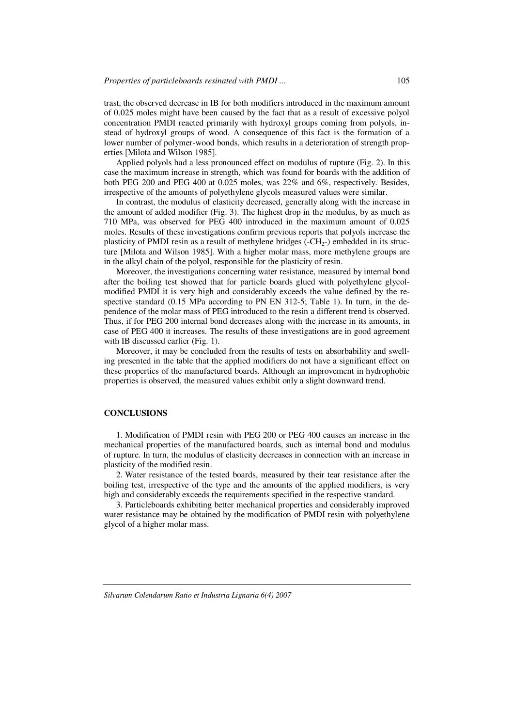trast, the observed decrease in IB for both modifiers introduced in the maximum amount of 0.025 moles might have been caused by the fact that as a result of excessive polyol concentration PMDI reacted primarily with hydroxyl groups coming from polyols, instead of hydroxyl groups of wood. A consequence of this fact is the formation of a lower number of polymer-wood bonds, which results in a deterioration of strength properties [Milota and Wilson 1985].

Applied polyols had a less pronounced effect on modulus of rupture (Fig. 2). In this case the maximum increase in strength, which was found for boards with the addition of both PEG 200 and PEG 400 at 0.025 moles, was 22% and 6%, respectively. Besides, irrespective of the amounts of polyethylene glycols measured values were similar.

In contrast, the modulus of elasticity decreased, generally along with the increase in the amount of added modifier (Fig. 3). The highest drop in the modulus, by as much as 710 MPa, was observed for PEG 400 introduced in the maximum amount of 0.025 moles. Results of these investigations confirm previous reports that polyols increase the plasticity of PMDI resin as a result of methylene bridges  $(-CH_{2})$  embedded in its structure [Milota and Wilson 1985]. With a higher molar mass, more methylene groups are in the alkyl chain of the polyol, responsible for the plasticity of resin.

Moreover, the investigations concerning water resistance, measured by internal bond after the boiling test showed that for particle boards glued with polyethylene glycolmodified PMDI it is very high and considerably exceeds the value defined by the respective standard (0.15 MPa according to PN EN 312-5; Table 1). In turn, in the dependence of the molar mass of PEG introduced to the resin a different trend is observed. Thus, if for PEG 200 internal bond decreases along with the increase in its amounts, in case of PEG 400 it increases. The results of these investigations are in good agreement with IB discussed earlier (Fig. 1).

Moreover, it may be concluded from the results of tests on absorbability and swelling presented in the table that the applied modifiers do not have a significant effect on these properties of the manufactured boards. Although an improvement in hydrophobic properties is observed, the measured values exhibit only a slight downward trend.

#### **CONCLUSIONS**

1. Modification of PMDI resin with PEG 200 or PEG 400 causes an increase in the mechanical properties of the manufactured boards, such as internal bond and modulus of rupture. In turn, the modulus of elasticity decreases in connection with an increase in plasticity of the modified resin.

2. Water resistance of the tested boards, measured by their tear resistance after the boiling test, irrespective of the type and the amounts of the applied modifiers, is very high and considerably exceeds the requirements specified in the respective standard.

3. Particleboards exhibiting better mechanical properties and considerably improved water resistance may be obtained by the modification of PMDI resin with polyethylene glycol of a higher molar mass.